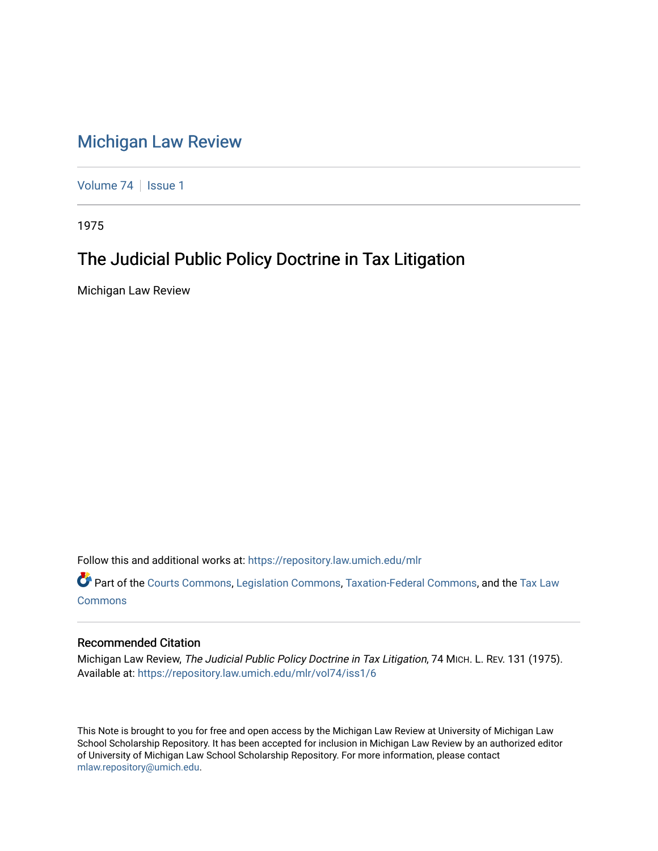## [Michigan Law Review](https://repository.law.umich.edu/mlr)

[Volume 74](https://repository.law.umich.edu/mlr/vol74) | [Issue 1](https://repository.law.umich.edu/mlr/vol74/iss1)

1975

## The Judicial Public Policy Doctrine in Tax Litigation

Michigan Law Review

Follow this and additional works at: [https://repository.law.umich.edu/mlr](https://repository.law.umich.edu/mlr?utm_source=repository.law.umich.edu%2Fmlr%2Fvol74%2Fiss1%2F6&utm_medium=PDF&utm_campaign=PDFCoverPages) 

Part of the [Courts Commons,](http://network.bepress.com/hgg/discipline/839?utm_source=repository.law.umich.edu%2Fmlr%2Fvol74%2Fiss1%2F6&utm_medium=PDF&utm_campaign=PDFCoverPages) [Legislation Commons](http://network.bepress.com/hgg/discipline/859?utm_source=repository.law.umich.edu%2Fmlr%2Fvol74%2Fiss1%2F6&utm_medium=PDF&utm_campaign=PDFCoverPages), [Taxation-Federal Commons,](http://network.bepress.com/hgg/discipline/881?utm_source=repository.law.umich.edu%2Fmlr%2Fvol74%2Fiss1%2F6&utm_medium=PDF&utm_campaign=PDFCoverPages) and the Tax Law [Commons](http://network.bepress.com/hgg/discipline/898?utm_source=repository.law.umich.edu%2Fmlr%2Fvol74%2Fiss1%2F6&utm_medium=PDF&utm_campaign=PDFCoverPages)

## Recommended Citation

Michigan Law Review, The Judicial Public Policy Doctrine in Tax Litigation, 74 MICH. L. REV. 131 (1975). Available at: [https://repository.law.umich.edu/mlr/vol74/iss1/6](https://repository.law.umich.edu/mlr/vol74/iss1/6?utm_source=repository.law.umich.edu%2Fmlr%2Fvol74%2Fiss1%2F6&utm_medium=PDF&utm_campaign=PDFCoverPages)

This Note is brought to you for free and open access by the Michigan Law Review at University of Michigan Law School Scholarship Repository. It has been accepted for inclusion in Michigan Law Review by an authorized editor of University of Michigan Law School Scholarship Repository. For more information, please contact [mlaw.repository@umich.edu.](mailto:mlaw.repository@umich.edu)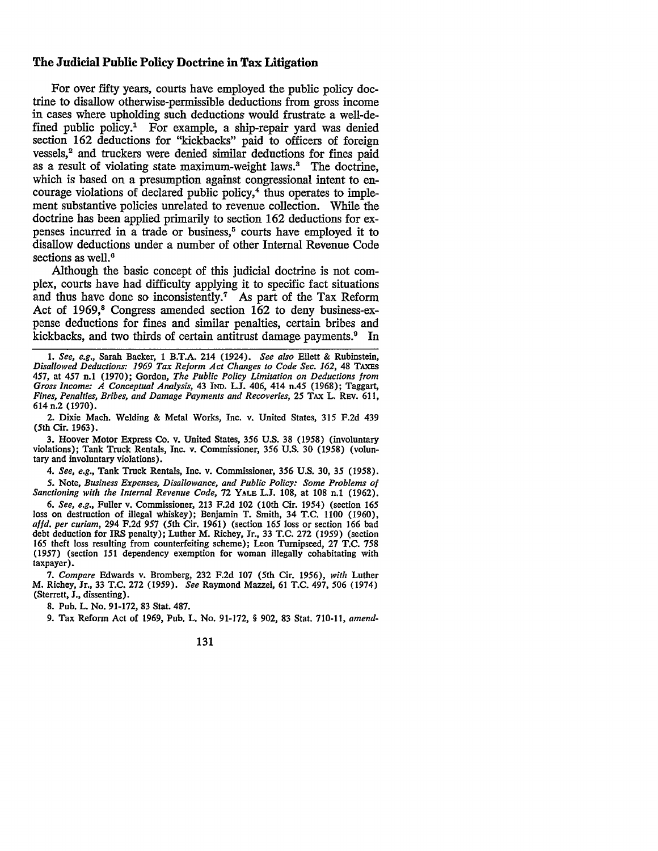## **The Judicial Public Policy Doctrine** in **Tax Litigation**

For over fifty years, courts have employed the public policy doctrine to disallow otherwise-permissible deductions from gross income in cases where upholding such deductions would frustrate a well-defined public policy.<sup>1</sup> For example, a ship-repair yard was denied section 162 deductions for "kickbacks" paid to officers of foreign vessels,<sup>2</sup> and truckers were denied similar deductions for fines paid as a result of violating state maximum-weight laws.3 The doctrine, which is based on a presumption against congressional intent to encourage violations of declared public policy,<sup>4</sup> thus operates to implement substantive policies unrelated to revenue collection. While the doctrine has been applied primarily to section 162 deductions for expenses incurred in  $a$  trade or business,<sup> $5$ </sup> courts have employed it to disallow deductions under a number of other Internal Revenue Code sections as well.<sup>6</sup>

Although the basic concept of this judicial doctrine is not complex, courts have had difficulty applying it to specific fact situations and thus have done so inconsistently.<sup>7</sup> As part of the Tax Reform Act of 1969,<sup>8</sup> Congress amended section 162 to deny business-expense deductions for fines and similar penalties, certain bribes and kickbacks, and two thirds of certain antitrust damage payments.<sup>9</sup> In

3. Hoover Motor Express Co. v. United States, 356 U.S. 38 (1958) (involuntary violations); Tank Truck Rentals, Inc. v. Commissioner, 356 U.S. 30 (1958) (voluntary and involuntary violations).

4. *See, e.g.,* Tank Truck Rentals, Inc. v. Commissioner, 356 U.S. 30, 35 (1958). *5.* Note, *Business Expenses, Disallowance, and Public Policy: Some Problems of* 

Sanctioning with the Internal Revenue Code, 72 YALB L.J. 108, at 108 n.1 (1962).

6. *See, e.g.,* Fuller v. Commissioner, 213 F.2d 102 (10th Cir. 1954) (section 165 loss on destruction of illegal whiskey); Benjamin T. Smith, 34 T.C. 1100 (1960), *affd. per curiam,* 294 F.2d 957 (5th Cir. 1961) (section 165 loss or section 166 bad debt deduction for IRS penalty); Luther M. Richey, Jr., 33 T.C. 272 (1959) (section 165 theft loss resulting from counterfeiting scheme); Leon Turnipseed, 27 T.C. 758 (1957) (section 151 dependency exemption for woman illegally cohabitating with taxpayer).

*1. Compare* Edwards v. Bromberg, 232 F.2d 107 (5th Cir. 1956), *with* Luther M. Richey, Jr., 33 T.C. 272 (1959). *See* Raymond Mazzei, 61 T.C. 497, 506 (1974) (Sterrett, J., dissenting).

8. Pub. L. No. 91-172, 83 Stat. 487.

9. Tax Reform Act of 1969, Pub. L. No. 91-172, § 902, 83 Stat. 710-11, *amend-*

131

<sup>1.</sup> *See, e.g.,* Sarah Backer, 1 B.T.A. 214 (1924). *See also* Ellett & Rubinstein, *Disallowed Deductions: 1969 Tax Reform Act Changes to Code Sec. 162,* 48 TAXES 457, at 457 n.1 (1970); Gordon, *The Public Policy Limitation on Deductions from Gross Income: A Conceptual Analysis,* 43 IND. L.J. 406, 414 n.45 (1968); Taggart, *Fines, Penalties, Bribes, and Damage Payments and Recoveries,* 25 TAX L. REV. 611, 614 n.2 (1970).

<sup>2.</sup> Dixie Mach. Welding & Metal Works, Inc. v. United States, 315 F.2d 439 (5th Cir. 1963).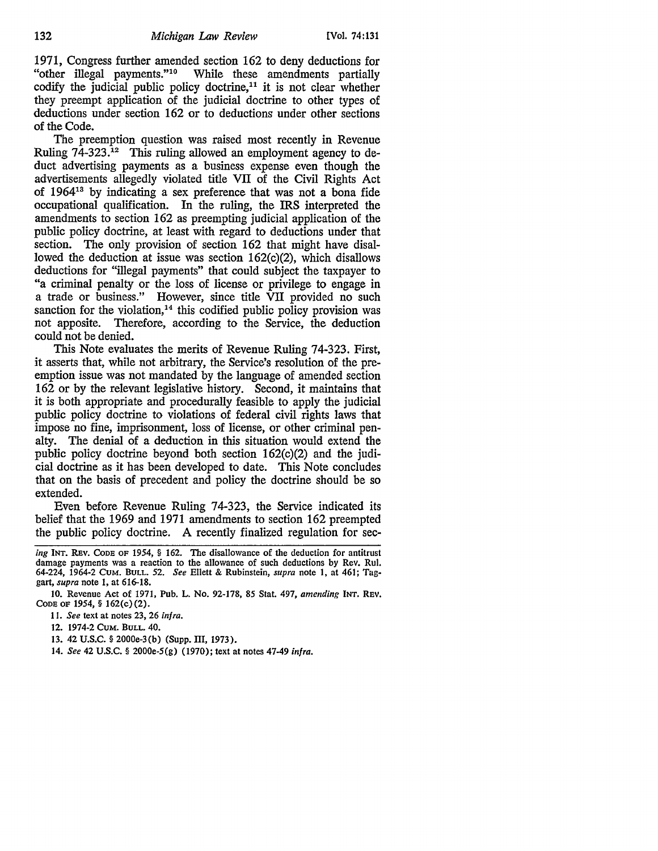1971, Congress further amended section 162 to deny deductions for "other illegal payments."10 While these amendments partially codify the judicial public policy doctrine, $11$  it is not clear whether they preempt application of the judicial doctrine to other types of deductions under section 162 or to deductions under other sections of the Code.

The preemption question was raised most recently in Revenue Ruling 74-323.<sup>12</sup> This ruling allowed an employment agency to deduct advertising payments as a business expense even though the advertisements allegedly violated title VII of the Civil Rights Act of 196413 by indicating a sex preference that was not a bona fide occupational qualification. In the ruling, the IRS interpreted the amendments to section 162 as preempting judicial application of the public policy doctrine, at least with regard to deductions under that section. The only provision of section 162 that might have disallowed the deduction at issue was section 162(c)(2), which disallows deductions for "illegal payments" that could subject the taxpayer to "a criminal penalty or the loss of license or privilege to engage in a trade or business." However, since title VII provided no such sanction for the violation, $14$  this codified public policy provision was not apposite. Therefore, according to the Service, the deduction could not be denied.

This Note evaluates the merits of Revenue Ruling 74-323. First, it asserts that, while not arbitrary, the Service's resolution of the preemption issue was not mandated by the language of amended section 162 or by the relevant legislative history. Second, it maintains that it is both appropriate and procedurally feasible to apply the judicial public policy doctrine to violations of federal civil rights laws that impose no fine, imprisonment, loss of license, or other criminal penalty. The denial of a deduction in this situation would extend the public policy doctrine beyond both section 162(c)(2) and the judicial doctrine as it has been developed to date. This Note concludes that on the basis of precedent and policy the doctrine should be so extended.

Even before Revenue Ruling 74-323, the Service indicated its belief that the 1969 and 1971 amendments to section 162 preempted the public policy doctrine. A recently finalized regulation for sec-

- 13. 42 U.S.C. § 2000e-3(b) (Supp. III, 1973).
- 14. *See* 42 U.S.C. § 2000e-5(g) (1970); text at notes 47-49 *infra.*

*ing* INT. &Ev. CODE OF 1954, § 162. The disallowance of the deduction for antitrust damage payments was a reaction to the allowance of such deductions by Rev. Rul. 64-224, 1964-2 CUM. BULL. 52. *See* Ellett & Rubinstein, *supra* note 1, at 461; Taggart, *supra* note 1, at 616-18.

<sup>10.</sup> Revenue Act of 1971, Pub. L. No. 92-178, 85 Stat. 497, *amending* INT. REV. CODE OF 1954, § 162(c)(2).

<sup>11.</sup> *See* text at notes 23, 26 *infra.* 

<sup>12. 1974-2</sup> CuM. BULL. 40.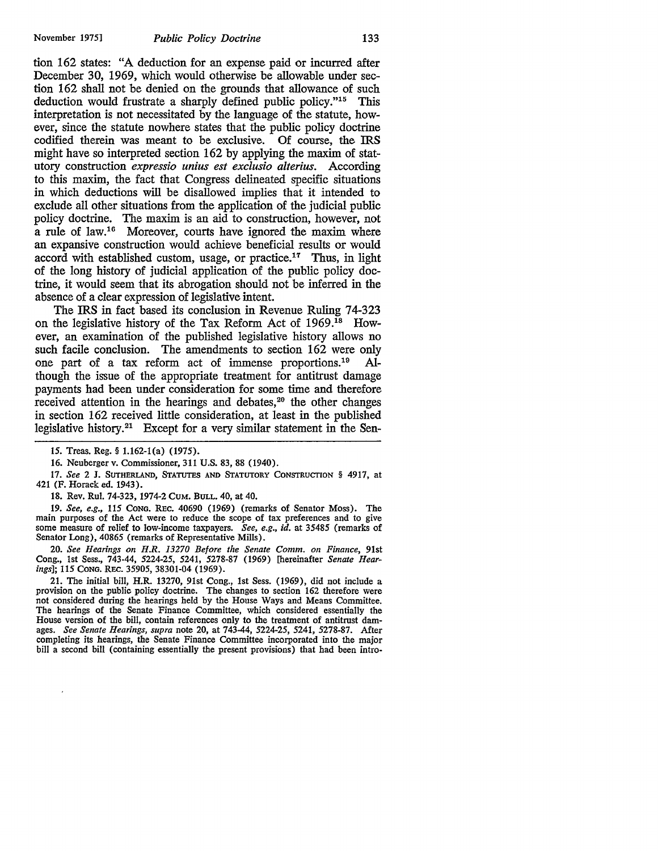tion 162 states: "A deduction for an expense paid or incurred after December 30, 1969, which would otherwise be allowable under section 162 shall not be denied on the grounds that allowance of such deduction would frustrate a sharply defined public policy."15 This interpretation is not necessitated by the language of the statute, however, since the statute nowhere states that the public policy doctrine codified therein was meant to be exclusive. Of course, the IRS might have so interpreted section 162 by applying the maxim of statutory construction *expressio unius est exclusio alterius.* According to this maxim, the fact that Congress delineated specific situations in which deductions will be disallowed implies that it intended to exclude all other situations from the application of the judicial public policy doctrine. The maxim is an aid to construction, however, not a rule of law.<sup>16</sup> Moreover, courts have ignored the maxim where an expansive construction would achieve beneficial results or would accord with established custom, usage, or practice.<sup>17</sup> Thus, in light of the long history of judicial application of the public policy doctrine, it would seem that its abrogation should not be inferred in the absence of a clear expression of legislative intent.

The IRS in fact based its conclusion in Revenue Ruling 74-323 on the legislative history of the Tax Reform Act of 1969.18 However, an examination of the published legislative history allows no such facile conclusion. The amendments to section 162 were only one part of a tax reform act of immense proportions.19 Although the issue of the appropriate treatment for antitrust damage payments had been under consideration for some time and therefore received attention in the hearings and debates,<sup>20</sup> the other changes in section 162 received little consideration, at least in the published legislative history.<sup>21</sup> Except for a very similar statement in the Sen-

17. *See* 2 J. SUTHERLAND, STATUTES AND STATUTORY CONSTRUCTION § 4917, at 421 (F. Horack ed. 1943).

18. Rev. Rul. 74-323, 1974-2 CUM. BULL. 40, at 40.

19. *See, e.g.,* 115 CONG. REc. 40690 (1969) (remarks of Senator Moss). The main purposes of the Act were to reduce the scope of tax preferences and to give some measure of relief to low-income taxpayers. *See, e.g., id.* at 35485 (remarks of Senator Long), 40865 (remarks of Representative Mills).

20. *See Hearings on H.R. 13270 Before the Senate Comm. on Finance,* 91st Cong., 1st Sess., 743-44, 5224-25, 5241, 5278-87 (1969) [hereinafter *Senate Hearings];* 115 CONG. REC. 35905, 38301-04 (1969).

21. The initial bill, H.R. 13270, 91st Cong., 1st Sess. (1969), did not include a provision on the public policy doctrine. The changes to section 162 therefore were not considered during the hearings held by the House Ways and Means Committee. The hearings of the Senate Finance Committee, which considered essentially the House version of the bill, contain references only to the treatment of antitrust damages. *See Senate Hearings, supra* note 20, at 743-44, 5224-25, 5241, 5278-87. After completing its hearings, the Senate Finance Committee incorporated into the major bill a second bill (containing essentially the present provisions) that had been intro-

<sup>15.</sup> Treas. Reg.§ 1.162-l(a) (1975).

<sup>16.</sup> Neuberger v. Commissioner, 311 U.S. 83, 88 (1940).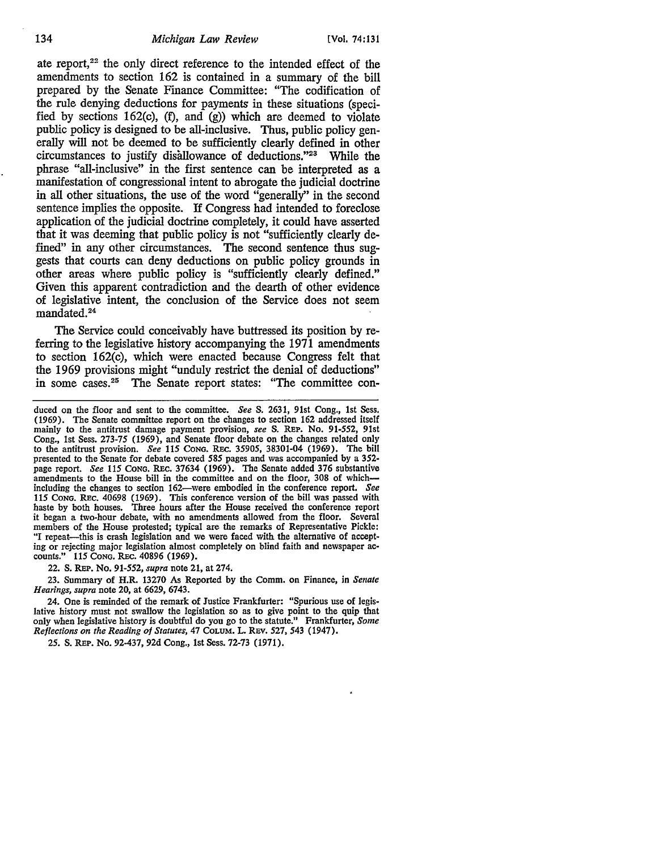ate report, $22$  the only direct reference to the intended effect of the amendments to section 162 is contained in a summary of the bill prepared by the Senate Finance Committee: "The codification of the rule denying deductions for payments in these situations (specified by sections 162(c), (f), and (g)) which are deemed to violate public policy is designed to be all-inclusive. Thus, public policy generally will not be deemed to be sufficiently clearly defined in other circumstances to justify disallowance of deductions."23 While the phrase "all-inclusive" in the first sentence can be interpreted as a manifestation of congressional intent to abrogate the judicial doctrine in all other situations, the use of the word "generally'' in the second sentence implies the opposite. If Congress had intended to foreclose application of the judicial doctrine completely, it could have asserted that it was deeming that public policy is not "sufficiently clearly defined" in any other circumstances. The second sentence thus suggests that courts can deny deductions on public policy grounds in other areas where public policy is "sufficiently clearly defined." Given this apparent contradiction and the dearth of other evidence of legislative intent, the conclusion of the Service does not seem mandated. 24

The Service could conceivably have buttressed its position by referring to the legislative history accompanying the 1971 amendments to section 162(c), which were enacted because Congress felt that the 1969 provisions might "unduly restrict the denial of deductions" in some cases.<sup>25</sup> The Senate report states: "The committee con-

22. S. REP. No. *91-552, supra* note 21, at 274.

23. Summary of H.R. 13270 As Reported by the Comm. on Finance, in Senate *Heari11gs, supra* note 20, at 6629, 6743.

25. S. REP. No. 92-437, 92d Cong., 1st Sess. 72-73 (1971).

duced on the floor and sent to the committee. *See* S. 2631, 91st Cong., 1st Sess. (1969). The Senate committee report on the changes to section 162 addressed itself mainly to the antitrust damage payment provision, *see* S. REP. No. *91-552,* 91st Cong., 1st Sess. 273-75 (1969), and Senate floor debate on the changes related only to the antitrust provision. *See 115* CONG. REc. *35905,* 38301-04 (1969). The bill presented to the Senate for debate covered *585* pages and was accompanied by a 352 page report. *See 115* CoNG. REc. 37634 (1969). The Senate added 376 substantive amendments to the House bill in the committee and on the floor, 308 of whichincluding the changes to section 162-were embodied in the conference report. *See 115* CONG. REC. 40698 (1969). This conference version of the bill was passed with haste by both houses. Three hours after the House received the conference report it began a two-hour debate, with no amendments allowed from the floor. Several members of the House protested; typical are the remarks of Representative Pickle: "I repeat—this is crash legislation and we were faced with the alternative of accepting or rejecting major legislation almost completely on blind faith and newspaper ac- counts." *115* CONG. REc. 40896 (1969).

<sup>24.</sup> One is reminded of the remark of Justice Frankfurter: "Spurious use of legislative history must not swallow the legislation so as to give point to the quip that only when legislative history is doubtful do you go to the statute." Frankfurter, *Some Reflections on the Reading of Statutes, 47 COLUM. L. REV. 527, 543 (1947).*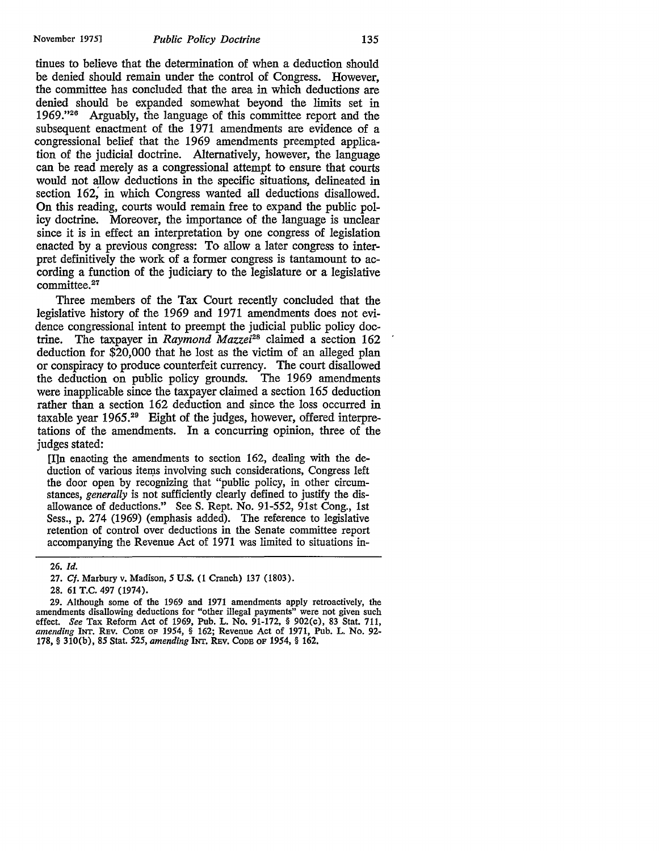tinues to believe that the determination of when a deduction should be denied should remain under the control of Congress. However, the committee has concluded that the area in which deductions are denied should be expanded somewhat beyond the limits set in 1969."26 Arguably, the language of this committee report and the subsequent enactment of the 1971 amendments are evidence of a congressional belief that the 1969 amendments preempted application of the judicial doctrine. Alternatively, however, the language can be read merely as a congressional attempt to ensure that courts would not allow deductions in the specific situations, delineated in section 162; in which Congress wanted all deductions disallowed. **On** this reading, courts would remain free to expand the public policy doctrine. Moreover, the importance of the language is unclear since it is in effect an interpretation by one congress of legislation enacted by a previous congress: To allow a later congress to interpret definitively the work of a former congress is tantamount to according a function of the judiciary to the legislature or a legislative committee.<sup>27</sup>

Three members of the Tax Court recently concluded that the legislative history of the 1969 and 1971 amendments does not evidence congressional intent to preempt the judicial public policy doctrine. The taxpayer in *Raymond Mazzei28* claimed a section 162 deduction for \$20,000 that he lost as the victim of an alleged plan or conspiracy to produce counterfeit currency. The court disallowed the deduction on public policy grounds. The 1969 amendments were inapplicable since the taxpayer claimed a section 165 deduction rather than a section 162 deduction and since the loss occurred in taxable year 1965.<sup>29</sup> Eight of the judges, however, offered interpretations of the amendments. In a concurring opinion, three of the judges stated:

[I]n enacting the amendments to section 162, dealing with the deduction of various items involving such considerations, Congress left the door open by recognizing that "public policy, in other circumstances, *generally* is not sufficiently clearly defined to justify the disallowance of deductions." See S. Rept. No. 91-552, 91st Cong., 1st Sess., p. 274 (1969) (emphasis added). The reference to legislative retention of control over deductions in the Senate committee report accompanying the Revenue Act of 1971 was limited to situations in-

<sup>26.</sup> *Id.* 

<sup>27.</sup> Cf. Marbury v. Madison, 5 U.S. (1 Cranch) 137 (1803).

<sup>28. 61</sup> T.C. 497 (1974).

<sup>29.</sup> Although some of the 1969 and 1971 amendments apply retroactively, the amendments disallowing deductions for "other illegal payments" were not given such effect. *See* Tax Reform Act of 1969, Pub. L. No. 91-172, § 902(c), 83 Stat. 711, *amending* INT. REV. CoDE OF 1954, § 162; Revenue Act of 1971, Pub. L. No. 92- 178, § 310(b), 85 Stat. 525, *amending* INT. REv. CoDE OF 1954, § 162.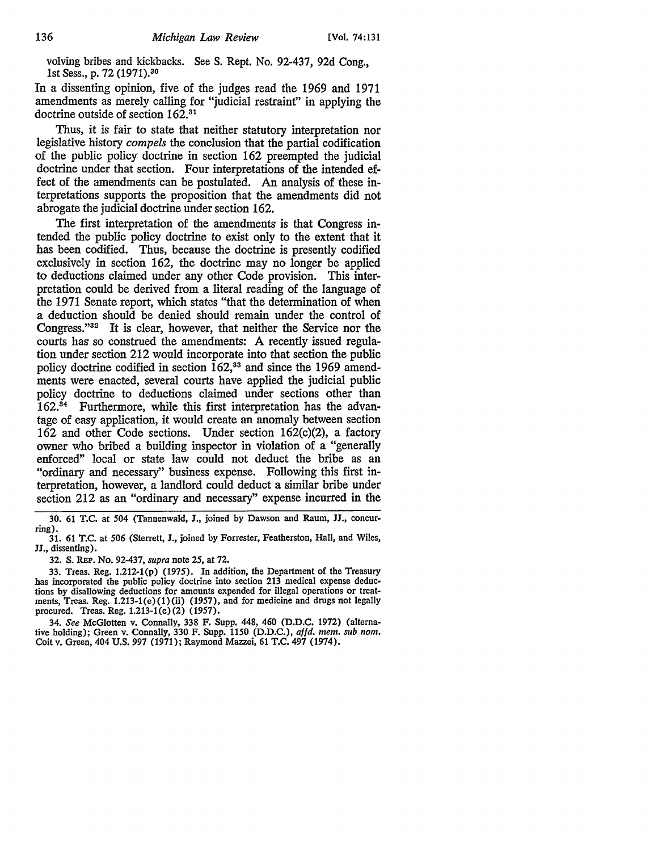volving bribes and kickbacks. See S. Rept. No. 92-437, 92d Cong., 1st Sess., p. 72 (1971).30

In a dissenting opinion, five of the judges read the 1969 and 1971 amendments as merely calling for "judicial restraint" in applying the doctrine outside of section 162.31

Thus, it is fair to state that neither statutory interpretation nor legislative history *compels* the conclusion that the partial codification of the public policy doctrine in section 162 preempted the judicial doctrine under that section. Four interpretations of the intended effect of the amendments can be postulated. An analysis of these interpretations supports the proposition that the amendments did not abrogate the judicial doctrine under section 162.

The first interpretation of the amendments is that Congress intended the public policy doctrine to exist only to the extent that it has been codified. Thus, because the doctrine is presently codified exclusively in section 162, the doctrine may no longer be applied to deductions claimed under any other Code provision. This interpretation could be derived from a literal reading of the language of the 1971 Senate report, which states "that the determination of when a deduction should be denied should remain under the control of Congress."<sup>32</sup> It is clear, however, that neither the Service nor the courts has so construed the amendments: A recently issued regulation under section 212 would incorporate into that section the public policy doctrine codified in section  $162$ ,<sup>33</sup> and since the 1969 amendments were enacted, several courts have applied the judicial public policy doctrine to deductions claimed under sections other than 162.34 Furthermore, while this first interpretation has the advantage of easy application, it would create an anomaly between section 162 and other Code sections. Under section 162(c)(2), a factory owner who bribed a building inspector in violation of a "generally enforced" local or state law could not deduct the bribe as an "ordinary and necessary'' business expense. Following this first interpretation, however, a landlord could deduct a similar bribe under section 212 as an "ordinary and necessary" expense incurred in the

30. 61 T.C. at 504 (Tannenwald, **J.,** joined by Dawson and Raum, **JJ.,** concurring).

32. S. REP. No. 92-437, *supra* note *25,* at 72.

33. Treas. Reg. 1.212-l(p) (1975). In addition, the Department of the Treasury has incorporated the public policy doctrine into section 213 medical expense deductions by disallowing deductions for amounts expended for illegal operations or treatments, Treas. Reg. 1.213-l(e)(l)(ii) (1957), and for medicine and drugs not legally procured. Treas. Reg. 1.213-l(e)(2) (1957).

34. *See* McGlotten v. Connally, 338 F. Supp. 448, 460 (D.D.C. 1972) (alternative holding); Green v. Connally, 330 F. Supp. 1150 (D.D.C.), *affd. mem. sub nom.* Coit v. Green, 404 U.S. 997 (1971); Raymond Mazzei, 61 T.C. 497 (1974).

<sup>31. 61</sup> T.C. at 506 (Sterrett, **J.,** joined by Forrester, Featherston, Hall, and Wiles, JJ., dissenting).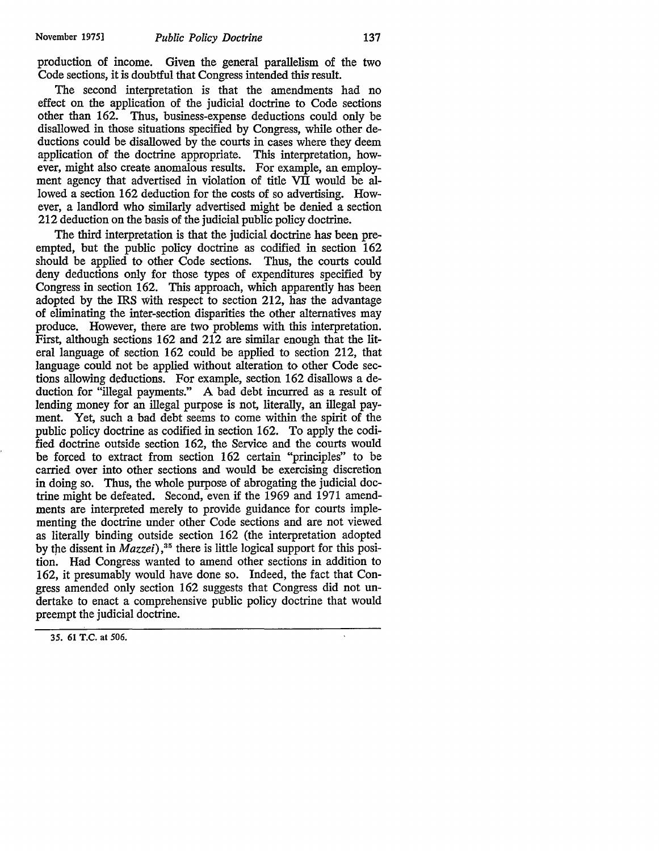production of income. Given the general parallelism of the two Code sections, it is doubtful that Congress intended this result.

The second interpretation is that the amendments had no effect on the application of the judicial doctrine to Code sections other than 162. Thus, business-expense deductions could only be disallowed in those situations specified by Congress, while other deductions could be disallowed by the courts in cases where they deem application of the doctrine appropriate. This interpretation, however, might also create anomalous results. For example, an employment agency that advertised in violation of title VII would be allowed a section 162 deduction for the costs of so advertising. However, a landlord who similarly advertised might be denied a section 212 deduction on the basis of the judicial public policy doctrine.

The third interpretation is that the judicial doctrine has been preempted, but the public policy doctrine as codified in section 162 should be applied to other Code sections. Thus, the courts could deny deductions only for those types of expenditures specified by Congress in section 162. This approach, which apparently has been adopted by the IRS with respect to section 212, has the advantage of eliminating the inter-section disparities the other alternatives may produce. However, there are two problems with this interpretation. First, although sections 162 and 212 are similar enough that the literal language of section 162 could be applied to section 212, that language could not be applied without alteration to other Code sections allowing deductions. For example, section 162 disallows a deduction for "illegal payments." A bad debt incurred as a result of lending money for an illegal purpose is not, literally, an illegal payment. Yet, such a bad debt seems to come within the spirit of the public policy doctrine as codified in section 162. To apply the codified doctrine outside section 162, the Service and the courts would be forced to extract from section 162 certain "principles" to be carried over into other sections and would be exercising discretion in doing so. Thus, the whole purpose of abrogating the judicial doctrine might be defeated. Second, even if the 1969 and 1971 amendments are interpreted merely to provide guidance for courts implementing the doctrine under other Code sections and are not viewed as literally binding outside section 162 (the interpretation adopted by the dissent in *Mazzei*),<sup>35</sup> there is little logical support for this position. Had Congress wanted to amend other sections in addition to 162, it presumably would have done so. Indeed, the fact that Congress amended only section 162 suggests that Congress did not undertake to enact a comprehensive public policy doctrine that would preempt the judicial doctrine.

<sup>35. 61</sup> T.C. at 506.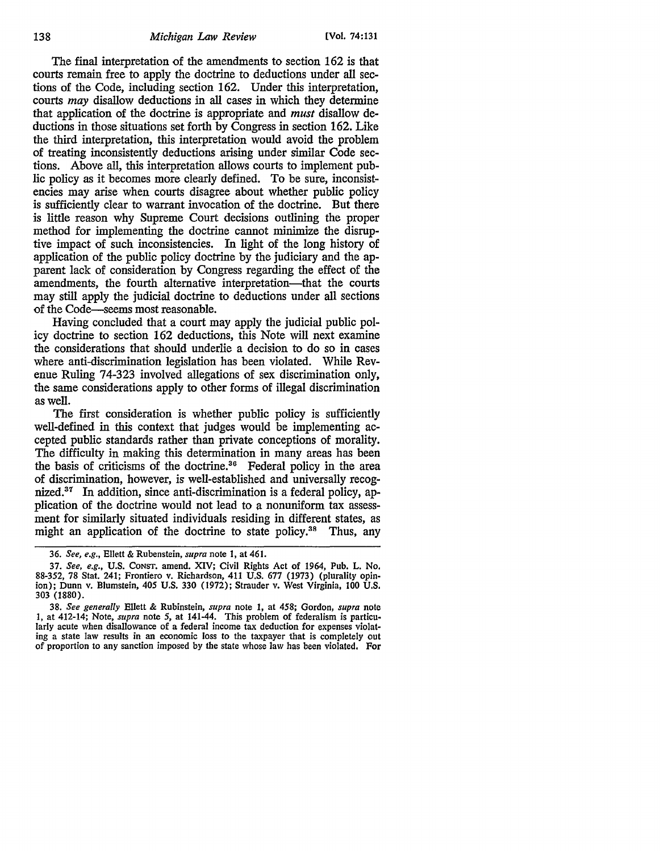The final interpretation of the amendments to section 162 is that courts remain free to apply the doctrine to deductions under all sections of the Code, including section 162. Under this interpretation, courts may disallow deductions in all cases in which they determine that application of the doctrine is appropriate and *must* disallow deductions in those situations set forth by Congress in section 162. Like the third interpretation, this interpretation would avoid the problem of treating inconsistently deductions arising under similar Code sections. Above all, this interpretation allows courts to implement public policy as it becomes more clearly defined. To be sure, inconsistencies may arise when courts disagree about whether public policy is sufficiently clear to warrant invocation of the doctrine. But there is little reason why Supreme Court decisions outlining the proper method for implementing the doctrine cannot minimize the disruptive impact of such inconsistencies. In light of the long history of application of the public policy doctrine by the judiciary and the apparent lack of consideration by Congress regarding the effect of the amendments, the fourth alternative interpretation—that the courts may still apply the judicial doctrine to deductions under all sections of the Code-seems most reasonable.

Having concluded that a court may apply the judicial public policy doctrine to section 162 deductions, this Note will next examine the considerations that should underlie a decision to do so in cases where anti-discrimination legislation has been violated. While Revenue Ruling 74-323 involved allegations of sex discrimination only, the same considerations apply to other forms of illegal discrimination as well.

The first consideration is whether public policy is sufficiently well-defined in this context that judges would be implementing accepted public standards rather than private conceptions of morality. The difficulty in making this determination in many areas has been the basis of criticisms of the doctrine.<sup>36</sup> Federal policy in the area of discrimination, however, is well-established and universally recognized.<sup>37</sup> In addition, since anti-discrimination is a federal policy, application of the doctrine would not lead to a nonuniform tax assessment for similarly situated individuals residing in different states, as might an application of the doctrine to state policy.<sup>38</sup> Thus, any

<sup>36.</sup> *See, e.g.,* Ellett & Rubenstein, *supra* note 1, at 461.

<sup>37.</sup> *See, e.g.,* U.S. CONST. amend. XIV; Civil Rights Act of 1964, Pub. L. No. 88-352, 78 Stat. 241; Frontiero v. Richardson, 411 U.S. 677 (1973) (plurality opinion); Dunn v. Blumstein, 405 U.S. 330 (1972); Strauder v. West Virginia, 100 U.S. 303 (1880).

<sup>38.</sup> *See generally* Ellett & Rubinstein, *supra* note 1, at 458; Gordon, *supra* note I, at 412-14; Note, *supra* note 5, at 141-44. This problem of federalism is particularly acute when disallowance of a federal income tax deduction for expenses violating a state law results in an economic loss to the taxpayer that is completely out of proportion to any sanction imposed by the state whose law has been violated. For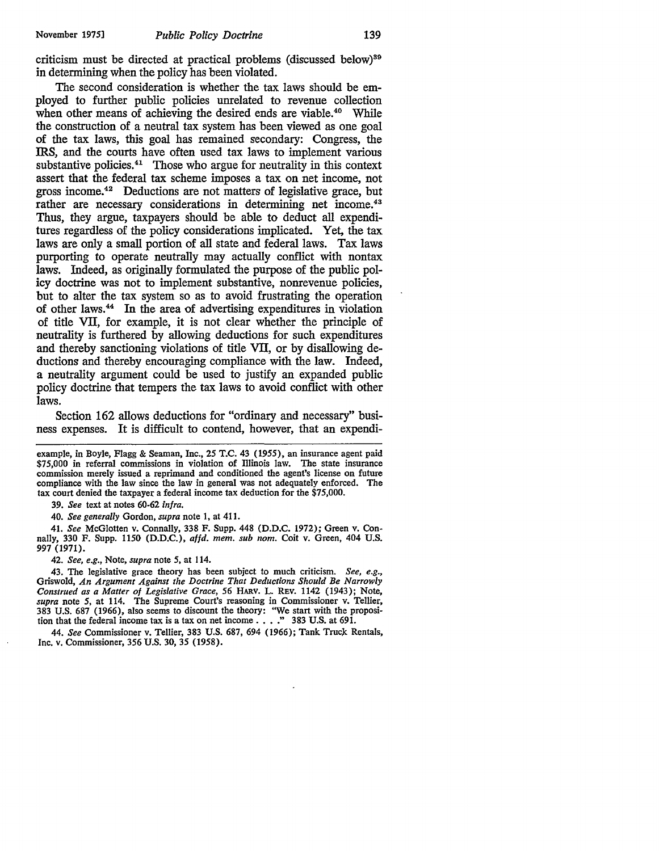criticism must be directed at practical problems (discussed below)<sup>89</sup> in determining when the policy has been violated.

The second consideration is whether the tax laws should be employed to further public policies unrelated to revenue collection when other means of achieving the desired ends are viable.<sup>40</sup> While the construction of a neutral tax system has been viewed as one goal of the tax laws, this goal has remained secondary: Congress, the IRS, and the courts have often used tax laws to implement various substantive policies.<sup>41</sup> Those who argue for neutrality in this context assert that the federal tax scheme imposes a tax on net income, not gross income.42 Deductions are not matters of legislative grace, but rather are necessary considerations in determining net income.<sup>43</sup> Thus, they argue, taxpayers should be able to deduct all expenditures regardless of the policy considerations implicated. Yet, the tax laws are only a small portion of all state and federal laws. Tax laws purporting to operate neutrally may actually conflict with nontax laws. Indeed, as originally formulated the purpose of the public policy doctrine was not to implement substantive, nonrevenue policies, but to alter the tax system so as to avoid frustrating the operation of other laws. 44 In the area of advertising expenditures in violation of title VII, for example, it is not clear whether the principle of neutrality is furthered by allowing deductions for such expenditures and thereby sanctioning violations of title VII, or by disallowing deductions and thereby encouraging compliance with the law. Indeed, a neutrality argument could be used to justify an expanded public policy doctrine that tempers the tax laws to avoid conflict with other laws.

Section 162 allows deductions for "ordinary and necessary" business expenses. It is difficult to contend, however, that an expendi-

example, in Boyle, Flagg & Seaman, Inc., *25* T.C. 43 (1955), an insurance agent paid \$75,000 in referral commissions in violation of Illinois law. The state insurance commission merely issued a reprimand and conditioned the agent's license on future compliance with the law since the law in general was not adequately enforced. The tax court denied the taxpayer a federal income tax deduction for the \$75,000.

39. *See* text at notes 60-62 *infra.* 

40. *See generally* Gordon, *supra* note 1, at 411.

41. *See* McGiotten v. Connally, 338 F. Supp. 448 (D.D.C. 1972); Green v. Connally, 330 F. Supp. 1150 (D.D.C.), *affd. mem. sub nom.* Coit v. Green, 404 U.S. 997 (1971).

42. *See, e.g.,* Note, *supra* note *5,* at 114.

43. The legislative grace theory has been subject to much criticism. *See, e.g.,*  Griswold, *An Argument Against the Doctrine That Deductions Should Be Narrowly Construed as a Matter of Legislative Grace, 56* HARV. L. REV. 1142 (1943); Note, *supra* note *5,* at 114. The Supreme Court's reasoning in Commissioner v. Tellier, 383 U.S. 687 (1966), also seems to discount the theory: "We start with the proposi-tion that the federal income tax is a tax on net income ..•• " 383 U.S. at 691.

44. *See* Commissioner v. Tellier, 383 U.S. 687, 694 (1966); Tank Truck Rentals, Inc. v. Commissioner, 356 U.S. 30, 35 (1958).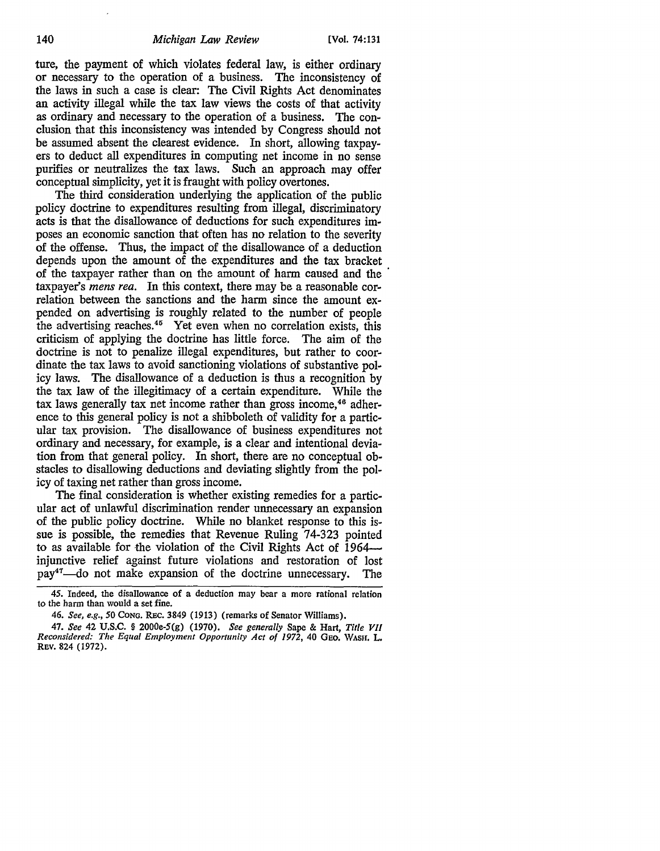ture, the payment of which violates federal law, is either ordinary or necessary to the operation of a business. The inconsistency of the laws in such a case is clear: The Civil Rights Act denominates an activity illegal while the tax law views the costs of that activity as ordinary and necessary to the operation of a business. The conclusion that this inconsistency was intended by Congress should not be assumed absent the clearest evidence. In short, allowing taxpayers to deduct all expenditures in computing net income in no sense purifies or neutralizes the tax laws. Such an approach may offer conceptual simplicity, yet it is fraught with policy overtones.

The third consideration underlying the application of the public policy doctrine to expenditures resulting from illegal, discriminatory acts is that the disallowance of deductions for such expenditures imposes an economic sanction that often has no relation to the severity of the offense. Thus, the impact of the disallowance of a deduction depends upon the amount of the expenditures and the tax bracket of the taxpayer rather than on the amount of harm caused and the · taxpayer's *mens rea.* In this context, there may be a reasonable correlation between the sanctions and the harm since the amount expended on advertising is roughly related to the number of people the advertising reaches.45 Yet even when no correlation exists, this criticism of applying the doctrine has little force. The aim of the doctrine is not to penalize illegal expenditures, but rather to coordinate the tax laws to avoid sanctioning violations of substantive policy laws. The disallowance of a deduction is thus a recognition by the tax law of the illegitimacy of a certain expenditure. While the tax laws generally tax net income rather than gross income, 46 adherence to this general policy is not a shibboleth of validity for a particular tax provision. The disallowance of business expenditures not ordinary and necessary, for example, is a clear and intentional deviation from that general policy. In short, there are no conceptual obstacles to disallowing deductions and deviating slightly from the policy of taxing net rather than gross income.

The final consideration is whether existing remedies for a particular act of unlawful discrimination render unnecessary an expansion of the public policy doctrine. While no blanket response to this issue is possible, the remedies that Revenue Ruling 74-323 pointed to as available for the violation of the Civil Rights Act of 1964 injunctive relief against future violations and restoration of lost pay<sup>47</sup>—do not make expansion of the doctrine unnecessary. The

<sup>45.</sup> Indeed, the disallowance of a deduction may bear a more rational relation to the harm than would a set fine.

<sup>46.</sup> *See, e.g., 50* CONG. REc. 3849 (1913) (remarks of Senator Williams).

*<sup>41.</sup> See* 42 U.S.C. § 2000e-5(g) (1970). *See generally* Sape & Hart, *Title VII Reconsidered: The Equal Employment Opportunity Act of 1972,* 40 GEO. WASH. L. REV. 824 (1972).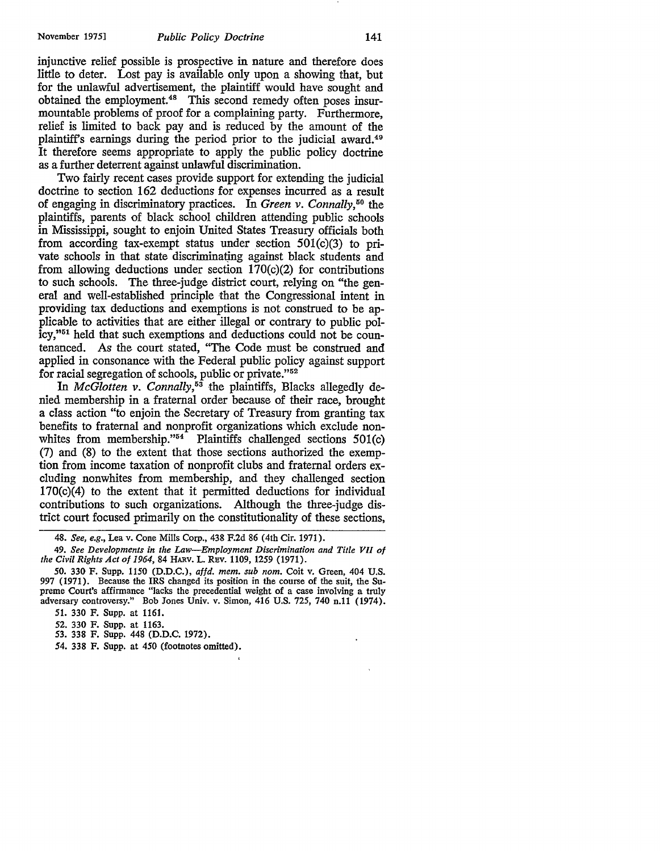injunctive relief possible is prospective in nature and therefore does little to deter. Lost pay is available only upon a showing that, but for the unlawful advertisement, the plaintiff would have sought and obtained the employment.<sup>48</sup> This second remedy often poses insurmountable problems of proof for a complaining party. Furthermore, relief is limited to back pay and is reduced by the amount of the plaintiffs earnings during the period prior to the judicial award.49 It therefore seems appropriate to apply the public policy doctrine as a further deterrent against unlawful discrimination.

Two fairly recent cases provide support for extending the judicial doctrine to section 162 deductions for expenses incurred as a result of engaging in discriminatory practices. In *Green v. Connally,50* the plaintiffs, parents of black school children attending public schools in Mississippi, sought to enjoin United States Treasury officials both from according tax-exempt status under section  $501(c)(3)$  to private schools in that state discriminating against black students and from allowing deductions under section 170(c)(2) for contributions to such schools. The three-judge district court, relying on "the general and well-established principle that the Congressional intent in providing tax deductions and exemptions is not construed to be applicable to activities that are either illegal or contrary to public policy,''51 held that such exemptions and deductions could not be countenanced. *As* the court stated, "The Code must be construed and applied in consonance with the Federal public policy against support for racial segregation of schools, public or private."52

In *McGlotten v. Connally*,<sup>53</sup> the plaintiffs, Blacks allegedly denied membership in a fraternal order because of their race, brought a class action "to enjoin the Secretary of Treasury from granting tax benefits to fraternal and nonprofit organizations which exclude nonwhites from membership." $54$  Plaintiffs challenged sections 501(c) (7) and (8) to the extent that those sections authorized the exemption from income taxation of nonprofit clubs and fraternal orders excluding nonwhites from membership, and they challenged section 170(c)(4) to the extent that it permitted deductions for individual contributions to such organizations. Although the three-judge district court focused primarily on the constitutionality of these sections,

<sup>48.</sup> *See, e.g.,* Lea v. Cone Mills Corp., 438 F.2d 86 (4th Cir. 1971).

<sup>49.</sup> *See Developments in the Law-Employment Discrimination and Title VII of the Civil Rights Act of 1964,* 84 HARV. L. REV. 1109, 1259 (1971).

<sup>50. 330</sup> F. Supp. 1150 (D.D.C.), *affd. mem. sub nom.* Coit v. Green, 404 U.S. 997 (1971). Because the IRS changed its position in the course of the suit, the Supreme Court's affirmance "lacks the precedential weight of a case involving a truly adversary controversy." Bob Jones Univ. v. Simon, 416 U.S. 725, 740 n.11 (1974). 51. 330 F. Supp. at 1161.

<sup>52. 330</sup> F. Supp. at 1163.

<sup>53. 338</sup> F. Supp. 448 (D.D.C. 1972).

<sup>54. 338</sup> F. Supp. at 450 (footnotes omitted).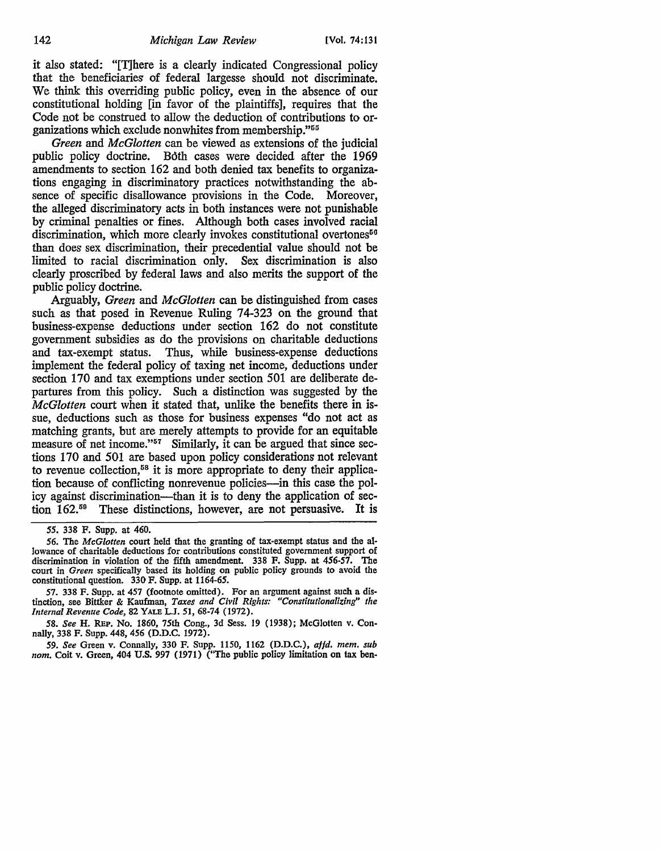it also stated: "[T]here is a clearly indicated Congressional policy that the beneficiaries of federal largesse should not discriminate. We think this overriding public policy, even in the absence of our constitutional holding [in favor of the plaintiffs], requires that the Code not be construed to allow the deduction of contributions to organizations which exclude nonwhites from membership."66

*Green* and *McGlotten* can be viewed as extensions of the judicial public policy doctrine. Both cases were decided after the 1969 amendments to section 162 and both denied tax benefits to organizations engaging in discriminatory practices notwithstanding the absence of specific disallowance provisions in the Code. Moreover, the alleged discriminatory acts in both instances were not punishable by criminal penalties or fines. Although both cases involved racial discrimination, which more clearly invokes constitutional overtones<sup>56</sup> than does sex discrimination, their precedential value should not be limited to racial discrimination only. Sex discrimination is also clearly proscribed by federal laws and also merits the support of the public policy doctrine.

Arguably, *Green* and *McGlotten* can be distinguished from cases such as that posed in Revenue Ruling 74-323 on the ground that business-expense deductions under section 162 do not constitute government subsidies as do the provisions on charitable deductions and tax-exempt status. Thus, while business-expense deductions implement the federal policy of taxing net income, deductions under section 170 and tax exemptions under section 501 are deliberate departures from this policy. Such a distinction was suggested by the *McGlotten* court when it stated that, unlike the benefits there in issue, deductions such as those for business expenses "do not act as matching grants, but are merely attempts to provide for an equitable measure of net income."<sup>57</sup> Similarly, it can be argued that since sections 170 and 501 are based upon policy considerations not relevant to revenue collection,<sup>58</sup> it is more appropriate to deny their application because of conflicting nonrevenue policies-in this case the policy against discrimination-than it is to deny the application of section 162.59 These distinctions, however, are not persuasive. It is

*59. See* Green v. Connally, 330 F. Supp. 1150, 1162 (D.D.C.), *affd. mem. sub nom.* Coit v. Green, 404 U.S. 997 (1971) (''The public policy limitation on tax ben-

*<sup>55.</sup>* 338 F. Supp. at 460.

*<sup>56.</sup>* The *McGlotten* court held that the granting of tax-exempt status and the allowance of charitable deductions for contributions constituted government support of discrimination in violation of the fifth amendment. 338 F. Supp. at *456-51.* The court in *Green* specifically based its holding on public policy grounds to avoid the constitutional question. 330 F. Supp. at 1164-65.

<sup>57. 338</sup> F. Supp. at 457 (footnote omitted). For an argument against such a distinction, see Bittker & Kaufman, *Taxes and Civil Rights: "Constitutionalizing" the Internal Revenue Code,* 82 YALE L.J. *51,* 68-74 (1972).

*<sup>58.</sup> See* H. REP. No. 1860, 75th Cong., 3d Sess. 19 (1938); McGlotten v. Connally, 338 F. Supp. 448, *456* (D.D.C. 1972).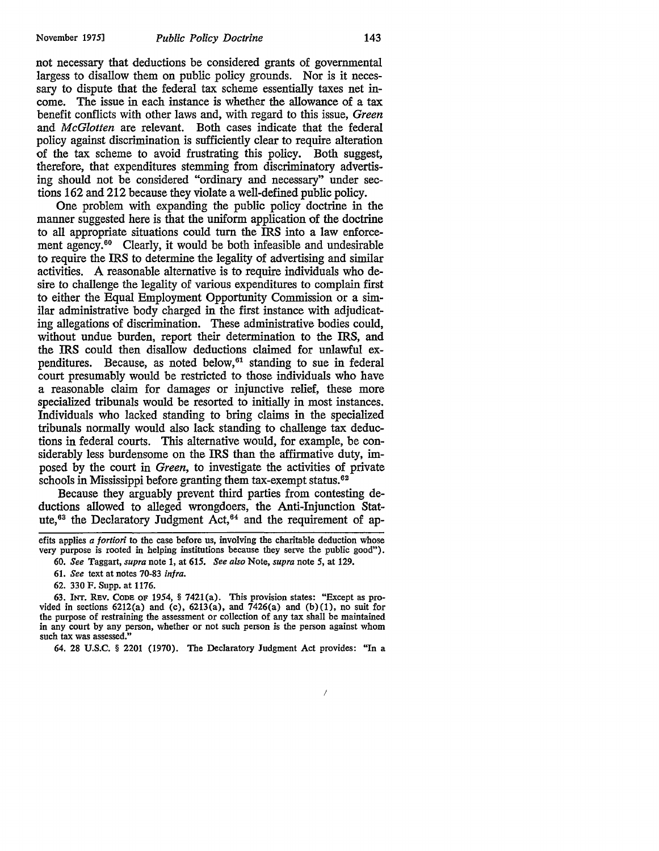not necessary that deductions be considered grants of governmental largess to disallow them on public policy grounds. Nor is it necessary to dispute that the federal tax scheme essentially taxes net income. The issue in each instance is whether the allowance of a tax benefit conflicts with other laws and, with regard to this issue, *Green*  and *McGlotten* are relevant. Both cases indicate that the federal policy against discrimination is sufficiently clear to require alteration of the tax scheme to avoid frustrating this policy. Both suggest, therefore, that expenditures stemming from discriminatory advertising should not be considered "ordinary and necessary" under sections 162 and 212 because they violate a well-defined public policy.

One problem with expanding the public policy doctrine in the manner suggested here is that the uniform application of the doctrine to all appropriate situations could turn the IRS into a law enforcement agency.<sup>60</sup> Clearly, it would be both infeasible and undesirable to require the IRS to determine the legality of advertising and similar activities. A reasonable alternative is to require individuals who desire to challenge the legality of various expenditures to complain first to either the Equal Employment Opportunity Commission or a similar administrative body charged in the first instance with adjudicating allegations of discrimination. These administrative bodies could, without undue burden, report their determination to the IRS, and the IRS could then disallow deductions claimed for unlawful expenditures. Because, as noted below,<sup>61</sup> standing to sue in federal court presumably would be restricted to those individuals who have a reasonable claim for damages or injunctive relief, these more specialized tribunals would be resorted to initially in most instances. Individuals who lacked standing to bring claims in the specialized tribunals normally would also lack standing to challenge tax deductions in federal courts. This alternative would, for example, be considerably less burdensome on the IRS than the affirmative duty, imposed by the court in *Green,* to investigate the activities of private schools in Mississippi before granting them tax-exempt status.<sup>62</sup>

Because they arguably prevent third parties from contesting deductions allowed to alleged wrongdoers, the Anti-Injunction Statute,<sup>63</sup> the Declaratory Judgment Act,<sup>64</sup> and the requirement of ap-

efits applies *a fortiori* to the case before us, involving the charitable deduction whose very purpose is rooted in helping institutions because they serve the public good").

61. *See* text at notes 70-83 *infra.* 

62. 330 F. Supp. at 1176.

63. INT. RBv. CoDB OF 1954, § 7421(a). This provision states: "Except as provided in sections  $6212(a)$  and  $(c)$ ,  $6213(a)$ , and  $7426(a)$  and  $(b)(1)$ , no suit for the purpose of restraining the assessment or collection of any tax shall be maintained in any court by any person, whether or not such person is the person against whom such tax was assessed."

64. 28 U.S.C. § 2201 (1970). The Declaratory Judgment Act provides: "In a

<sup>60.</sup> *See* Taggart, *supra* note 1, at 615. *See also* Note, *supra* note *5,* at 129.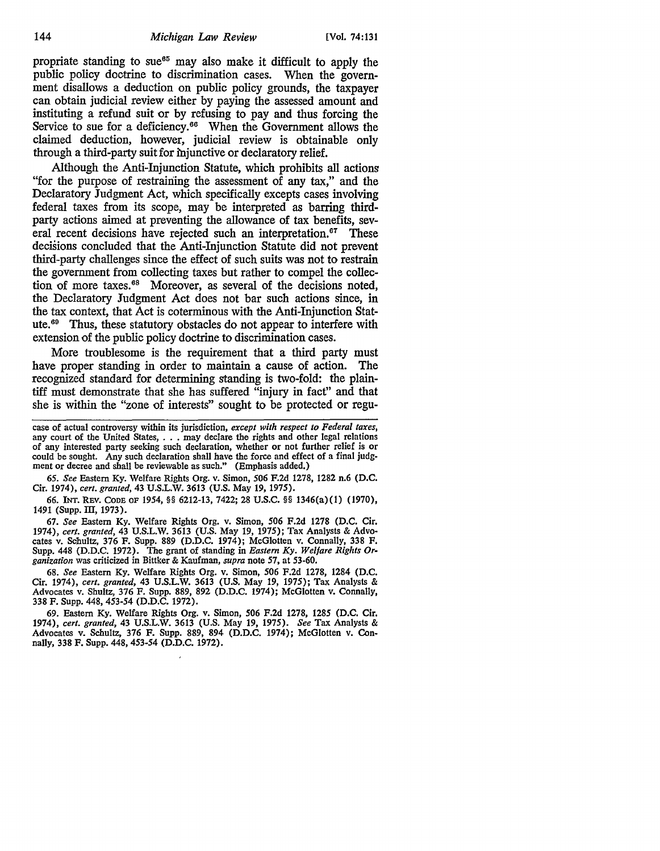propriate standing to sue<sup>65</sup> may also make it difficult to apply the public policy doctrine to discrimination cases. When the government disallows a deduction on public policy grounds, the taxpayer can obtain judicial review either by paying the assessed amount and instituting a refund suit or by refusing to pay and thus forcing the Service to sue for a deficiency.<sup>66</sup> When the Government allows the claimed deduction, however, judicial review is obtainable only through a third-party suit for mjunctive or declaratory relief.

Although the Anti-Injunction Statute, which prohibits all actions "for the purpose of restraining the assessment of any tax," and the Declaratory Judgment Act, which specifically excepts cases involving federal taxes from its scope, may be interpreted as barring thirdparty actions aimed at preventing the allowance of tax benefits, several recent decisions have rejected such an interpretation.<sup>67</sup> These decisions concluded that the Anti-Injunction Statute did not prevent third-party challenges since the effect of such suits was not to restrain the government from collecting taxes but rather to compel the collection of more taxes. 68 Moreover, as several of the decisions noted, the Declaratory Judgment Act does not bar such actions since, in the tax context, that Act is coterminous with the Anti-Injunction Statute.<sup>69</sup> Thus, these statutory obstacles do not appear to interfere with extension of the public policy doctrine to discrimination cases.

More troublesome is the requirement that a third party must have proper standing in order to maintain a cause of action. The recognized standard for determining standing is two-fold: the plaintiff must demonstrate that she has suffered "injury in fact" and that she is within the "zone of interests" sought to be protected or regu-

case of actual controversy within its jurisdiction, *except with respect to Federal taxes,*  any court of the United States, . . . may declare the rights and other legal relations of any interested party seeking such declaration, whether or not further relief is or could be sought. Any such declaration shall have the force and effect of a final judgment or decree and shall be reviewable as such." (Emphasis added.)

65. *See* Eastern Ky. Welfare Rights Org. v. Simon, 506 F.2d 1278, 1282 n.6 (D.C. Cir. 1974), *cert. granted,* 43 U.S.L.W. 3613 (U.S. May 19, 1975).

66. JNT. REV. CODE OF 1954, §§ 6212-13, 7422; 28 U.S.C. §§ 1346(a){1) (1970), 1491 (Supp. III, 1973).

*61. See* Eastern Ky. Welfare Rights Org. v. Simon, 506 F.2d 1278 (D.C. Cir. 1974), *cert. granted,* 43 U.S.L.W. 3613 (U.S. May 19, 1975); Tax Analysts & Advocates v. Schultz, 376 F. Supp. 889 (D.D.C. 1974); McGlotten v. Connally, 338 F. Supp. 448 (D.D.C. 1972). The grant of standing in *Eastern Ky. Welfare Rights Organization* was criticized in Bittker & Kaufman, *supra* note 57, at 53-60.

68. *See* Eastern Ky. Welfare Rights Org. v. Simon, 506 F.2d 1278, 1284 (D.C. Cir. 1974), *cert. granted,* 43 U.S.L.W. 3613 (U.S. May 19, 1975); Tax Analysts & Advocates v. Shultz, 376 F. Supp. 889, 892 (D.D.C. 1974); McGlotten v. Connally, 338 F. Supp. 448, 453-54 (D.D.C. 1972).

69. Eastern Ky. Welfare Rights Org. v. Simon, 506 F.2d 1278, 1285 (D.C. Cir. 1974), *cert. granted,* 43 U.S.L.W. 3613 (U.S. May 19, 1975). *See* Tax Analysts & Advocates v. Schultz, 376 F. Supp. 889, 894 (D.D.C. 1974); McGlotten v. Connally, 338 F. Supp. 448, 453-54 (D.D.C. 1972).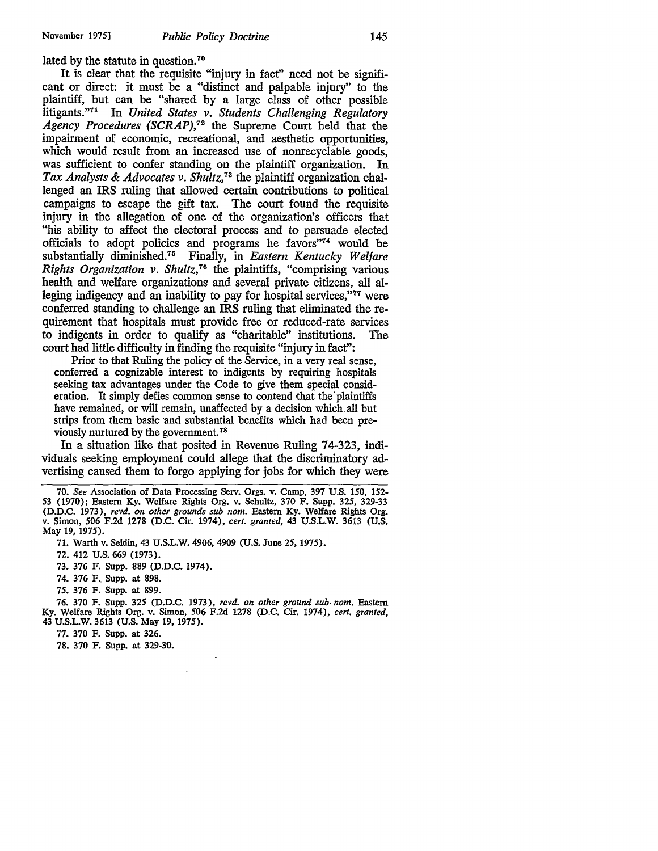lated by the statute in question.<sup>70</sup>

It is clear that the requisite "injury in fact" need not be significant or direct: it must be a "distinct and palpable injury" to the plaintiff, but can be "shared by a large class of other possible litigants."<sup>71</sup> In *United States v. Students Challenging Regulatory Agency Procedures (SCRAP),72* the Supreme Court held that the impairment of economic, recreational, and aesthetic opportunities, which would result from an increased use of nonrecyclable goods, was sufficient to confer standing on the plaintiff organization. In *Tax Analysts* & *Advocates v. Shultz,*73 the plaintiff organization challenged an IRS ruling that allowed certain contributions to political campaigns to escape the gift tax. The court found the requisite injury in the allegation of one of the organization's officers that "his ability to affect the electoral process and to persuade elected officials to adopt policies and programs he favors"74 would be substantially diminished.<sup>75</sup> Finally, in *Eastern Kentucky Welfare Rights Organization v. Shultz*,<sup>76</sup> the plaintiffs, "comprising various health and welfare organizations and several private citizens, all alleging indigency and an inability to pay for hospital services,"<sup>77</sup> were conferred standing to challenge an IRS ruling that eliminated the requirement that hospitals must provide free or reduced-rate services to indigents in order to qualify as "charitable" institutions. The court had little difficulty in finding the requisite "injury in fact":

Prior to that Ruling the policy of the Service, in a very real sense, conferred a cognizable interest to indigents by requiring hospitals seeking tax advantages under the Code to give them special consideration. It simply defies common sense to contend that the plaintiffs have remained, or will remain, unaffected by a decision which. all but strips from them basic and substantial benefits which had been previously nurtured by the government. <sup>78</sup>

In a situation like that posited in Revenue Ruling 74-323, individuals seeking employment could allege that the discriminatory advertising caused them to forgo applying for jobs for which they were

72. 412 U.S. 669 (1973).

73. 376 F. Supp. 889 (D.D.C. 1974).

74. 376 F, Supp. at 898.

75. 376 F. Supp. at 899.

76. 370 F. Supp. 32S (D.D.C. 1973), *revd. on other ground sub- nom.* Eastern Ky. Welfare Rights Org. v. Simon, *S06* F.2d 1278 (D.C. Cir. 1974), *cert. granted,*  43 U.S.L.W. 3613 (U.S. May 19, 197S).

77. 370 F. Supp. at 326.

78. 370 F. Supp. at 329-30.

<sup>70.</sup> *See* Association of Data Processing Serv. Orgs. v. Camp, 397 U.S. 150, 152- 53 (1970); Eastern Ky. Welfare Rights Org. v. Schultz, 370 F. Supp. 325, 329-33 (D.D.C. 1973), *revd. on other grounds sub nom.* Eastern Ky. Welfare Rights Org. v. Simon, 506 F.2d 1278 (D.C. Cir. 1974), *cert. granted,* 43 U.S.L.W. 3613 (U.S. May 19, 1975).

<sup>71.</sup> Warth v. Seldin, 43 U.S.L.W. 4906, 4909 (U.S. June 25, 1975).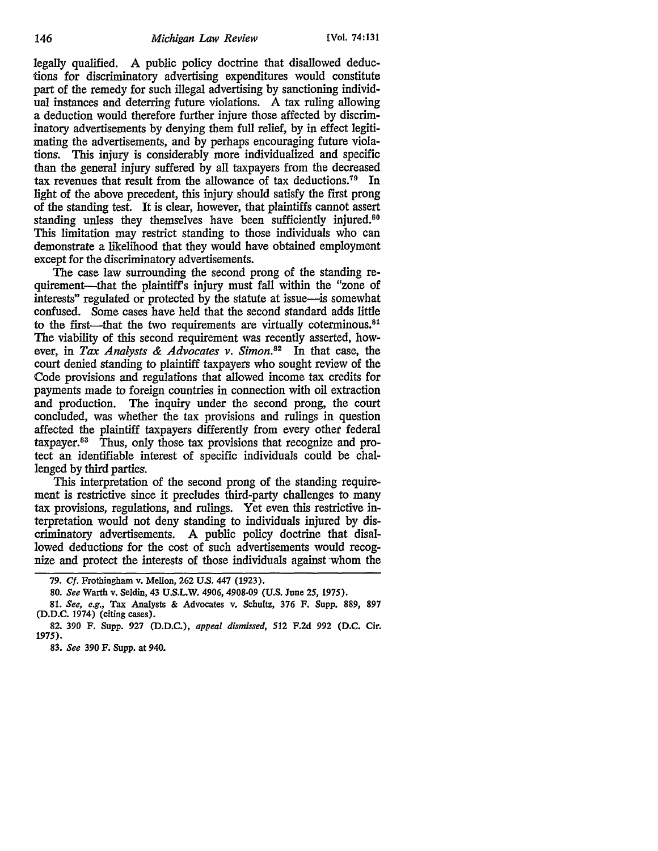legally qualified. A public policy doctrine that disallowed deductions for discriminatory advertising expenditures would constitute part of the remedy for such illegal advertising by sanctioning individual instances and deterring future violations. A tax ruling allowing a deduction would therefore further injure those affected by discriminatory advertisements by denying them full relief, by in effect legitimating the advertisements, and by perhaps encouraging future violations. This injury is considerably more individualized and specific than the general injury suffered by all taxpayers from the decreased tax revenues that result from the allowance of tax deductions.70 In light of the above precedent, this injury should satisfy the first prong of the standing test. It is clear, however, that plaintiffs cannot assert standing unless they themselves have been sufficiently injured.<sup>80</sup> This limitation may restrict standing to those individuals who can demonstrate a likelihood that they would have obtained employment except for the discriminatory advertisements.

The case law surrounding the second prong of the standing requirement—that the plaintiff's injury must fall within the "zone of interests" regulated or protected by the statute at issue-is somewhat confused. Some cases have held that the second standard adds little to the first—that the two requirements are virtually coterminous. $81$ The viability of this second requirement was recently asserted, however, in *Tax Analysts* & *Advocates v. Simon.82* In that case, the court denied standing to plaintiff taxpayers who sought review of the Code provisions and regulations that allowed income tax credits for payments made to foreign countries in connection with oil extraction and production. The inquiry under the second prong, the court concluded, was whether the tax provisions and rulings in question affected the plaintiff taxpayers differently from every other federal taxpayer. 83 Thus, only those tax provisions that recognize and protect an identifiable interest of specific individuals could be challenged by third parties.

This interpretation of the second prong of the standing requirement is restrictive since it precludes third-party challenges to many tax provisions, regulations, and rulings. Yet even this restrictive interpretation would not deny standing to individuals injured by discriminatory advertisements. A public policy doctrine that disallowed deductions for the cost of such advertisements would recognize and protect the interests of those individuals against whom the

<sup>79.</sup> Cf. Frothingham v. Mellon, 262 U.S. 447 (1923).

<sup>80.</sup> *See* Warth v. Seldin, 43 U.S.LW. 4906, 4908-09 (U.S. June *25,* 1975).

<sup>81.</sup> *See, e.g.,* Tax Analysts & Advocates v. Schultz, 376 F. Supp. 889, 897 (D.D.C. 1974) (citing cases).

<sup>82. 390</sup> F. Supp. 927 (D.D.C.), *appeal dismissed,* 512 F.2d 992 (D.C. Cir. 1975).

<sup>83.</sup> *See* 390 F. Supp. at 940.